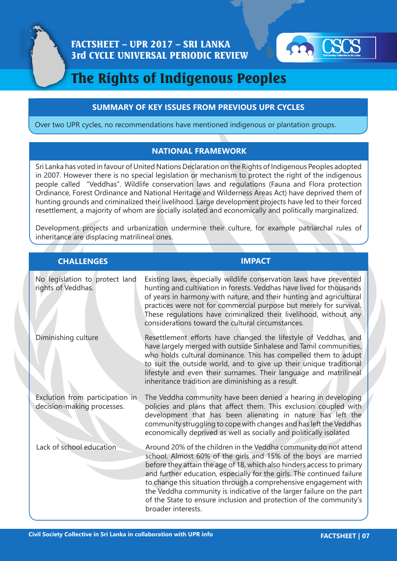



# The Rights of Indigenous Peoples

#### **SUMMARY OF KEY ISSUES FROM PREVIOUS UPR CYCLES**

Over two UPR cycles, no recommendations have mentioned indigenous or plantation groups.

#### **NATIONAL FRAMEWORK**

Sri Lanka has voted in favour of United Nations Declaration on the Rights of Indigenous Peoples adopted in 2007. However there is no special legislation or mechanism to protect the right of the indigenous people called "Veddhas". Wildlife conservation laws and regulations (Fauna and Flora protection Ordinance, Forest Ordinance and National Heritage and Wilderness Areas Act) have deprived them of hunting grounds and criminalized their livelihood. Large development projects have led to their forced resettlement, a majority of whom are socially isolated and economically and politically marginalized.

Development projects and urbanization undermine their culture, for example patriarchal rules of inheritance are displacing matrilineal ones.

### **CHALLENGES IMPACT**

#### No legislation to protect land rights of Veddhas. Diminishing culture Exclution from participation in decision-making processes. Lack of school education Existing laws, especially wildlife conservation laws have prevented hunting and cultivation in forests. Veddhas have lived for thousands of years in harmony with nature, and their hunting and agricultural practices were not for commercial purpose but merely for survival. These regulations have criminalized their livelihood, without any considerations toward the cultural circumstances. Resettlement efforts have changed the lifestyle of Veddhas, and have largely merged with outside Sinhalese and Tamil communities, who holds cultural dominance. This has compelled them to adupt to suit the outside world, and to give up their unique traditional lifestyle and even their surnames. Their language and matrilineal inheritance tradition are diminishing as a result. The Veddha community have been denied a hearing in developing policies and plans that affect them. This exclusion coupled with development that has been alienating in nature has left the community struggling to cope with changes and has left the Veddhas economically deprived as well as socially and politically isolated Around 20% of the children in the Veddha community do not attend school. Almost 60% of the girls and 15% of the boys are married before they attain the age of 18, which also hinders access to primary and further education, especially for the girls. The continued failure to change this situation through a comprehensive engagement with the Veddha community is indicative of the larger failure on the part of the State to ensure inclusion and protection of the community's broader interests.